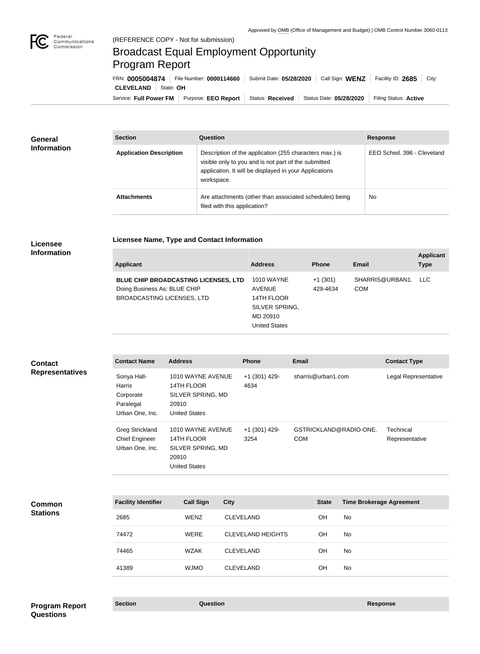

# Broadcast Equal Employment Opportunity Program Report

**Licensee Name, Type and Contact Information**

Service: Full Power FM Purpose: EEO Report | Status: Received | Status Date: 05/28/2020 | Filing Status: Active **CLEVELAND** State: **OH** FRN: **0005004874** File Number: **0000114660** Submit Date: **05/28/2020** Call Sign: **WENZ** Facility ID: **2685** City:

| <b>General</b><br><b>Information</b> | <b>Section</b>                 | <b>Question</b>                                                                                                                                                                         | <b>Response</b>            |
|--------------------------------------|--------------------------------|-----------------------------------------------------------------------------------------------------------------------------------------------------------------------------------------|----------------------------|
|                                      | <b>Application Description</b> | Description of the application (255 characters max.) is<br>visible only to you and is not part of the submitted<br>application. It will be displayed in your Applications<br>workspace. | EEO Sched, 396 - Cleveland |
|                                      | <b>Attachments</b>             | Are attachments (other than associated schedules) being<br>filed with this application?                                                                                                 | <b>No</b>                  |

### **Licensee Information**

| <b>Applicant</b>                                                                                                 | <b>Address</b>                                                                                         | <b>Phone</b>          | Email                         | <b>Applicant</b><br><b>Type</b> |
|------------------------------------------------------------------------------------------------------------------|--------------------------------------------------------------------------------------------------------|-----------------------|-------------------------------|---------------------------------|
| <b>BLUE CHIP BROADCASTING LICENSES, LTD</b><br>Doing Business As: BLUE CHIP<br><b>BROADCASTING LICENSES, LTD</b> | <b>1010 WAYNE</b><br><b>AVENUE</b><br>14TH FLOOR<br>SILVER SPRING,<br>MD 20910<br><b>United States</b> | $+1(301)$<br>429-4634 | SHARRIS@URBAN1.<br><b>COM</b> | LLC.                            |

| <b>Contact</b><br><b>Representatives</b> | <b>Contact Name</b>                                                | <b>Address</b>                                                                        |             | Phone                    | <b>Email</b>                  |                                 | <b>Contact Type</b>         |
|------------------------------------------|--------------------------------------------------------------------|---------------------------------------------------------------------------------------|-------------|--------------------------|-------------------------------|---------------------------------|-----------------------------|
|                                          | Sonya Hall-<br>Harris<br>Corporate<br>Paralegal<br>Urban One, Inc. | 1010 WAYNE AVENUE<br>14TH FLOOR<br>SILVER SPRING, MD<br>20910<br><b>United States</b> |             | +1 (301) 429-<br>4634    | sharris@urban1.com            |                                 | Legal Representative        |
|                                          | <b>Greg Strickland</b><br><b>Chief Engineer</b><br>Urban One, Inc. | 1010 WAYNE AVENUE<br>14TH FLOOR<br>SILVER SPRING, MD<br>20910<br><b>United States</b> |             | +1 (301) 429-<br>3254    | GSTRICKLAND@RADIO-ONE.<br>COM |                                 | Technical<br>Representative |
| <b>Common</b><br><b>Stations</b>         | <b>Facility Identifier</b>                                         | <b>Call Sign</b>                                                                      | <b>City</b> |                          | <b>State</b>                  | <b>Time Brokerage Agreement</b> |                             |
|                                          | 2685                                                               | <b>WENZ</b>                                                                           |             | <b>CLEVELAND</b>         | OH                            | No                              |                             |
|                                          | 74472                                                              | <b>WERE</b>                                                                           |             | <b>CLEVELAND HEIGHTS</b> | OH                            | <b>No</b>                       |                             |
|                                          | 74465                                                              | <b>WZAK</b>                                                                           |             | <b>CLEVELAND</b>         | OH                            | No                              |                             |
|                                          | 41389                                                              | <b>WJMO</b>                                                                           |             | <b>CLEVELAND</b>         | OH                            | No                              |                             |
|                                          |                                                                    |                                                                                       |             |                          |                               |                                 |                             |
| <b>Program Report</b>                    | <b>Section</b>                                                     | <b>Question</b>                                                                       |             |                          |                               | <b>Response</b>                 |                             |